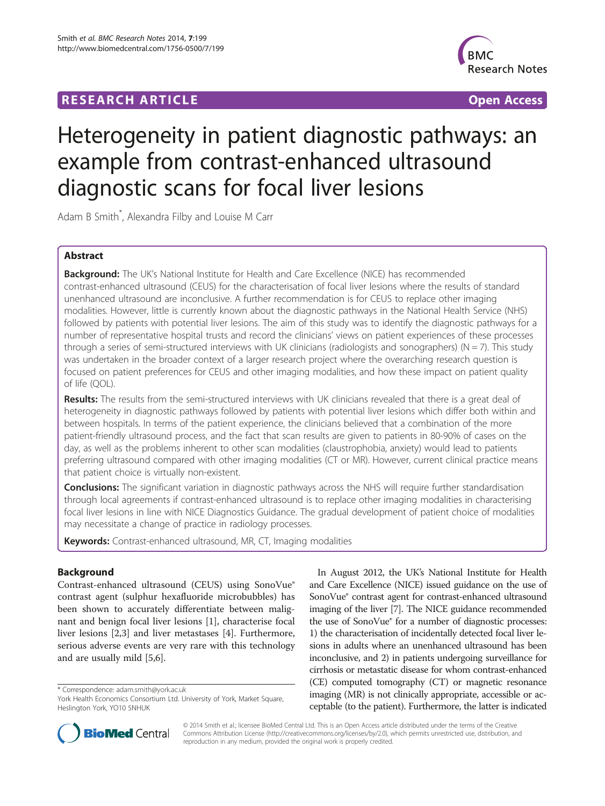# **RESEARCH ARTICLE Example 2018 12:00 Department of the CONNECTION CONNECTION CONNECTION CONNECTION**



# Heterogeneity in patient diagnostic pathways: an example from contrast-enhanced ultrasound diagnostic scans for focal liver lesions

Adam B Smith\* , Alexandra Filby and Louise M Carr

# Abstract

**Background:** The UK's National Institute for Health and Care Excellence (NICE) has recommended contrast-enhanced ultrasound (CEUS) for the characterisation of focal liver lesions where the results of standard unenhanced ultrasound are inconclusive. A further recommendation is for CEUS to replace other imaging modalities. However, little is currently known about the diagnostic pathways in the National Health Service (NHS) followed by patients with potential liver lesions. The aim of this study was to identify the diagnostic pathways for a number of representative hospital trusts and record the clinicians' views on patient experiences of these processes through a series of semi-structured interviews with UK clinicians (radiologists and sonographers) ( $N = 7$ ). This study was undertaken in the broader context of a larger research project where the overarching research question is focused on patient preferences for CEUS and other imaging modalities, and how these impact on patient quality of life (QOL).

Results: The results from the semi-structured interviews with UK clinicians revealed that there is a great deal of heterogeneity in diagnostic pathways followed by patients with potential liver lesions which differ both within and between hospitals. In terms of the patient experience, the clinicians believed that a combination of the more patient-friendly ultrasound process, and the fact that scan results are given to patients in 80-90% of cases on the day, as well as the problems inherent to other scan modalities (claustrophobia, anxiety) would lead to patients preferring ultrasound compared with other imaging modalities (CT or MR). However, current clinical practice means that patient choice is virtually non-existent.

**Conclusions:** The significant variation in diagnostic pathways across the NHS will require further standardisation through local agreements if contrast-enhanced ultrasound is to replace other imaging modalities in characterising focal liver lesions in line with NICE Diagnostics Guidance. The gradual development of patient choice of modalities may necessitate a change of practice in radiology processes.

Keywords: Contrast-enhanced ultrasound, MR, CT, Imaging modalities

# Background

Contrast-enhanced ultrasound (CEUS) using SonoVue® contrast agent (sulphur hexafluoride microbubbles) has been shown to accurately differentiate between malignant and benign focal liver lesions [[1\]](#page-5-0), characterise focal liver lesions [[2,3\]](#page-5-0) and liver metastases [\[4](#page-5-0)]. Furthermore, serious adverse events are very rare with this technology and are usually mild [[5,6\]](#page-5-0).

\* Correspondence: [adam.smith@york.ac.uk](mailto:adam.smith@york.ac.uk)

In August 2012, the UK's National Institute for Health and Care Excellence (NICE) issued guidance on the use of SonoVue® contrast agent for contrast-enhanced ultrasound imaging of the liver [\[7](#page-5-0)]. The NICE guidance recommended the use of SonoVue® for a number of diagnostic processes: 1) the characterisation of incidentally detected focal liver lesions in adults where an unenhanced ultrasound has been inconclusive, and 2) in patients undergoing surveillance for cirrhosis or metastatic disease for whom contrast-enhanced (CE) computed tomography (CT) or magnetic resonance imaging (MR) is not clinically appropriate, accessible or acceptable (to the patient). Furthermore, the latter is indicated



© 2014 Smith et al.; licensee BioMed Central Ltd. This is an Open Access article distributed under the terms of the Creative Commons Attribution License [\(http://creativecommons.org/licenses/by/2.0\)](http://creativecommons.org/licenses/by/2.0), which permits unrestricted use, distribution, and reproduction in any medium, provided the original work is properly credited.

York Health Economics Consortium Ltd. University of York, Market Square, Heslington York, YO10 5NHUK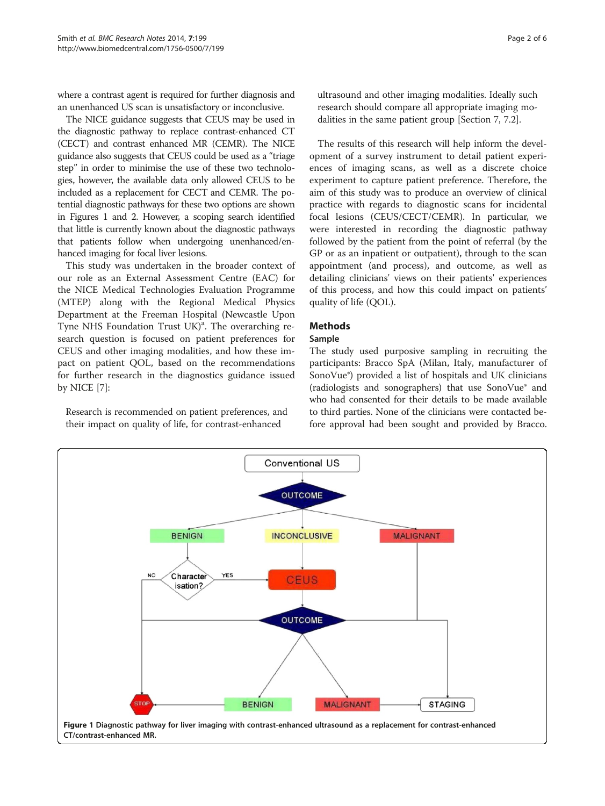where a contrast agent is required for further diagnosis and an unenhanced US scan is unsatisfactory or inconclusive.

The NICE guidance suggests that CEUS may be used in the diagnostic pathway to replace contrast-enhanced CT (CECT) and contrast enhanced MR (CEMR). The NICE guidance also suggests that CEUS could be used as a "triage step" in order to minimise the use of these two technologies, however, the available data only allowed CEUS to be included as a replacement for CECT and CEMR. The potential diagnostic pathways for these two options are shown in Figures 1 and [2](#page-2-0). However, a scoping search identified that little is currently known about the diagnostic pathways that patients follow when undergoing unenhanced/enhanced imaging for focal liver lesions.

This study was undertaken in the broader context of our role as an External Assessment Centre (EAC) for the NICE Medical Technologies Evaluation Programme (MTEP) along with the Regional Medical Physics Department at the Freeman Hospital (Newcastle Upon Tyne NHS Foundation Trust UK)<sup>a</sup>. The overarching research question is focused on patient preferences for CEUS and other imaging modalities, and how these impact on patient QOL, based on the recommendations for further research in the diagnostics guidance issued by NICE [\[7](#page-5-0)]:

Research is recommended on patient preferences, and their impact on quality of life, for contrast-enhanced

The results of this research will help inform the development of a survey instrument to detail patient experiences of imaging scans, as well as a discrete choice experiment to capture patient preference. Therefore, the aim of this study was to produce an overview of clinical practice with regards to diagnostic scans for incidental focal lesions (CEUS/CECT/CEMR). In particular, we were interested in recording the diagnostic pathway followed by the patient from the point of referral (by the GP or as an inpatient or outpatient), through to the scan appointment (and process), and outcome, as well as detailing clinicians' views on their patients' experiences of this process, and how this could impact on patients' quality of life (QOL).

# Methods

## Sample

The study used purposive sampling in recruiting the participants: Bracco SpA (Milan, Italy, manufacturer of SonoVue®) provided a list of hospitals and UK clinicians (radiologists and sonographers) that use SonoVue® and who had consented for their details to be made available to third parties. None of the clinicians were contacted before approval had been sought and provided by Bracco.

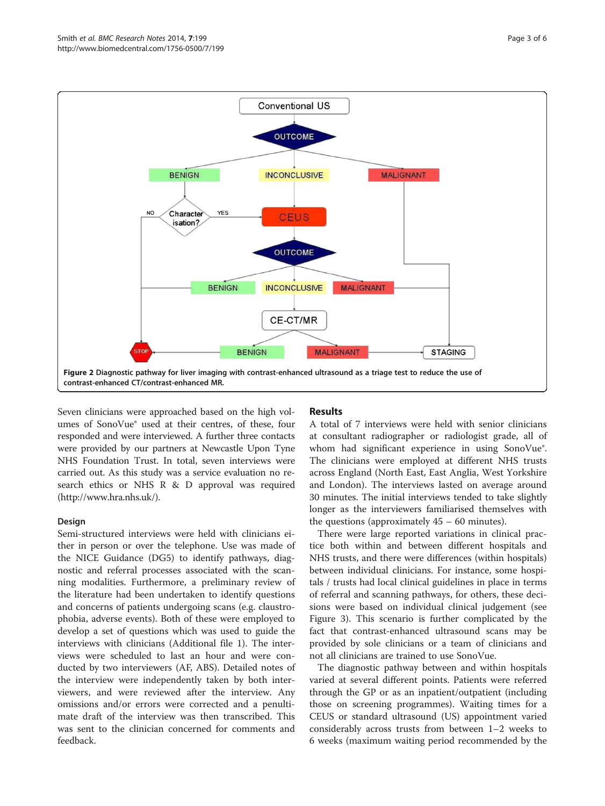<span id="page-2-0"></span>

Seven clinicians were approached based on the high volumes of SonoVue® used at their centres, of these, four responded and were interviewed. A further three contacts were provided by our partners at Newcastle Upon Tyne NHS Foundation Trust. In total, seven interviews were carried out. As this study was a service evaluation no research ethics or NHS R & D approval was required ([http://www.hra.nhs.uk/\)](http://www.hra.nhs.uk/).

# Design

Semi-structured interviews were held with clinicians either in person or over the telephone. Use was made of the NICE Guidance (DG5) to identify pathways, diagnostic and referral processes associated with the scanning modalities. Furthermore, a preliminary review of the literature had been undertaken to identify questions and concerns of patients undergoing scans (e.g. claustrophobia, adverse events). Both of these were employed to develop a set of questions which was used to guide the interviews with clinicians (Additional file [1](#page-4-0)). The interviews were scheduled to last an hour and were conducted by two interviewers (AF, ABS). Detailed notes of the interview were independently taken by both interviewers, and were reviewed after the interview. Any omissions and/or errors were corrected and a penultimate draft of the interview was then transcribed. This was sent to the clinician concerned for comments and feedback.

# Results

A total of 7 interviews were held with senior clinicians at consultant radiographer or radiologist grade, all of whom had significant experience in using SonoVue<sup>®</sup>. The clinicians were employed at different NHS trusts across England (North East, East Anglia, West Yorkshire and London). The interviews lasted on average around 30 minutes. The initial interviews tended to take slightly longer as the interviewers familiarised themselves with the questions (approximately  $45 - 60$  minutes).

There were large reported variations in clinical practice both within and between different hospitals and NHS trusts, and there were differences (within hospitals) between individual clinicians. For instance, some hospitals / trusts had local clinical guidelines in place in terms of referral and scanning pathways, for others, these decisions were based on individual clinical judgement (see Figure [3](#page-3-0)). This scenario is further complicated by the fact that contrast-enhanced ultrasound scans may be provided by sole clinicians or a team of clinicians and not all clinicians are trained to use SonoVue.

The diagnostic pathway between and within hospitals varied at several different points. Patients were referred through the GP or as an inpatient/outpatient (including those on screening programmes). Waiting times for a CEUS or standard ultrasound (US) appointment varied considerably across trusts from between 1–2 weeks to 6 weeks (maximum waiting period recommended by the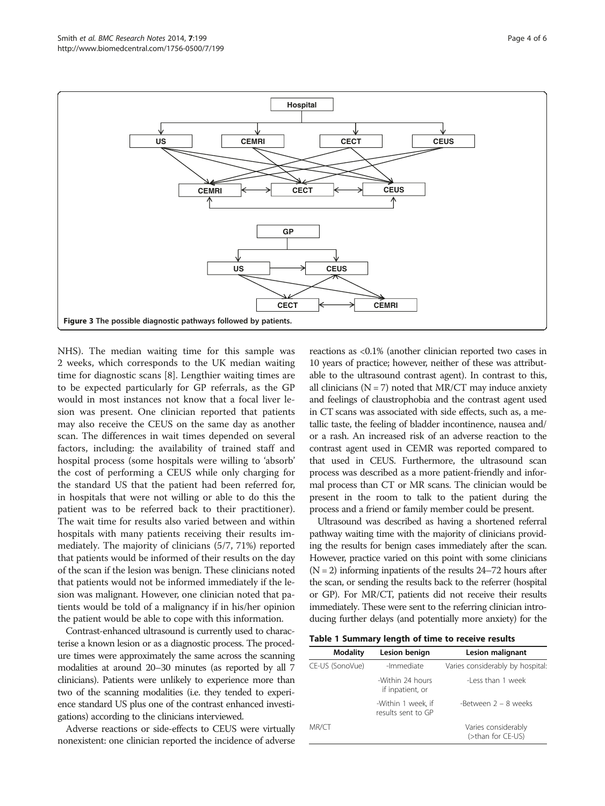<span id="page-3-0"></span>

NHS). The median waiting time for this sample was 2 weeks, which corresponds to the UK median waiting time for diagnostic scans [[8\]](#page-5-0). Lengthier waiting times are to be expected particularly for GP referrals, as the GP would in most instances not know that a focal liver lesion was present. One clinician reported that patients may also receive the CEUS on the same day as another scan. The differences in wait times depended on several factors, including: the availability of trained staff and hospital process (some hospitals were willing to 'absorb' the cost of performing a CEUS while only charging for the standard US that the patient had been referred for, in hospitals that were not willing or able to do this the patient was to be referred back to their practitioner). The wait time for results also varied between and within hospitals with many patients receiving their results immediately. The majority of clinicians (5/7, 71%) reported that patients would be informed of their results on the day of the scan if the lesion was benign. These clinicians noted that patients would not be informed immediately if the lesion was malignant. However, one clinician noted that patients would be told of a malignancy if in his/her opinion the patient would be able to cope with this information.

Contrast-enhanced ultrasound is currently used to characterise a known lesion or as a diagnostic process. The procedure times were approximately the same across the scanning modalities at around 20–30 minutes (as reported by all 7 clinicians). Patients were unlikely to experience more than two of the scanning modalities (i.e. they tended to experience standard US plus one of the contrast enhanced investigations) according to the clinicians interviewed.

Adverse reactions or side-effects to CEUS were virtually nonexistent: one clinician reported the incidence of adverse

reactions as <0.1% (another clinician reported two cases in 10 years of practice; however, neither of these was attributable to the ultrasound contrast agent). In contrast to this, all clinicians ( $N = 7$ ) noted that MR/CT may induce anxiety and feelings of claustrophobia and the contrast agent used in CT scans was associated with side effects, such as, a metallic taste, the feeling of bladder incontinence, nausea and/ or a rash. An increased risk of an adverse reaction to the contrast agent used in CEMR was reported compared to that used in CEUS. Furthermore, the ultrasound scan process was described as a more patient-friendly and informal process than CT or MR scans. The clinician would be present in the room to talk to the patient during the process and a friend or family member could be present.

Ultrasound was described as having a shortened referral pathway waiting time with the majority of clinicians providing the results for benign cases immediately after the scan. However, practice varied on this point with some clinicians  $(N = 2)$  informing inpatients of the results 24–72 hours after the scan, or sending the results back to the referrer (hospital or GP). For MR/CT, patients did not receive their results immediately. These were sent to the referring clinician introducing further delays (and potentially more anxiety) for the

| Table 1 Summary length of time to receive results |  |  |  |
|---------------------------------------------------|--|--|--|
|---------------------------------------------------|--|--|--|

| <b>Modality</b> | Lesion benign                            | Lesion malignant                         |
|-----------------|------------------------------------------|------------------------------------------|
| CE-US (SonoVue) | -Immediate                               | Varies considerably by hospital:         |
|                 | -Within 24 hours<br>if inpatient, or     | -Less than 1 week                        |
|                 | -Within 1 week, if<br>results sent to GP | -Between $2 - 8$ weeks                   |
| MR/CT           |                                          | Varies considerably<br>(>than for CE-US) |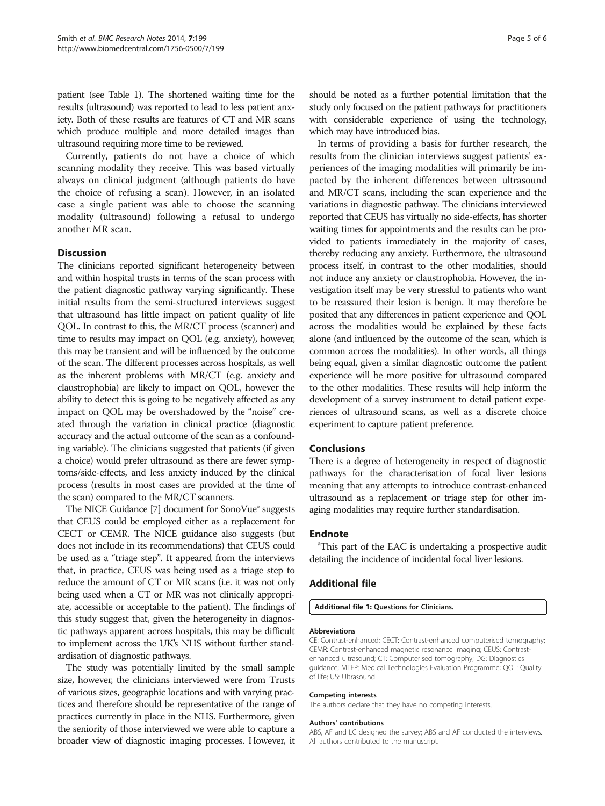<span id="page-4-0"></span>patient (see Table [1\)](#page-3-0). The shortened waiting time for the results (ultrasound) was reported to lead to less patient anxiety. Both of these results are features of CT and MR scans which produce multiple and more detailed images than ultrasound requiring more time to be reviewed.

Currently, patients do not have a choice of which scanning modality they receive. This was based virtually always on clinical judgment (although patients do have the choice of refusing a scan). However, in an isolated case a single patient was able to choose the scanning modality (ultrasound) following a refusal to undergo another MR scan.

# **Discussion**

The clinicians reported significant heterogeneity between and within hospital trusts in terms of the scan process with the patient diagnostic pathway varying significantly. These initial results from the semi-structured interviews suggest that ultrasound has little impact on patient quality of life QOL. In contrast to this, the MR/CT process (scanner) and time to results may impact on QOL (e.g. anxiety), however, this may be transient and will be influenced by the outcome of the scan. The different processes across hospitals, as well as the inherent problems with MR/CT (e.g. anxiety and claustrophobia) are likely to impact on QOL, however the ability to detect this is going to be negatively affected as any impact on QOL may be overshadowed by the "noise" created through the variation in clinical practice (diagnostic accuracy and the actual outcome of the scan as a confounding variable). The clinicians suggested that patients (if given a choice) would prefer ultrasound as there are fewer symptoms/side-effects, and less anxiety induced by the clinical process (results in most cases are provided at the time of the scan) compared to the MR/CT scanners.

The NICE Guidance [[7](#page-5-0)] document for SonoVue® suggests that CEUS could be employed either as a replacement for CECT or CEMR. The NICE guidance also suggests (but does not include in its recommendations) that CEUS could be used as a "triage step". It appeared from the interviews that, in practice, CEUS was being used as a triage step to reduce the amount of CT or MR scans (i.e. it was not only being used when a CT or MR was not clinically appropriate, accessible or acceptable to the patient). The findings of this study suggest that, given the heterogeneity in diagnostic pathways apparent across hospitals, this may be difficult to implement across the UK's NHS without further standardisation of diagnostic pathways.

The study was potentially limited by the small sample size, however, the clinicians interviewed were from Trusts of various sizes, geographic locations and with varying practices and therefore should be representative of the range of practices currently in place in the NHS. Furthermore, given the seniority of those interviewed we were able to capture a broader view of diagnostic imaging processes. However, it

should be noted as a further potential limitation that the study only focused on the patient pathways for practitioners with considerable experience of using the technology, which may have introduced bias.

In terms of providing a basis for further research, the results from the clinician interviews suggest patients' experiences of the imaging modalities will primarily be impacted by the inherent differences between ultrasound and MR/CT scans, including the scan experience and the variations in diagnostic pathway. The clinicians interviewed reported that CEUS has virtually no side-effects, has shorter waiting times for appointments and the results can be provided to patients immediately in the majority of cases, thereby reducing any anxiety. Furthermore, the ultrasound process itself, in contrast to the other modalities, should not induce any anxiety or claustrophobia. However, the investigation itself may be very stressful to patients who want to be reassured their lesion is benign. It may therefore be posited that any differences in patient experience and QOL across the modalities would be explained by these facts alone (and influenced by the outcome of the scan, which is common across the modalities). In other words, all things being equal, given a similar diagnostic outcome the patient experience will be more positive for ultrasound compared to the other modalities. These results will help inform the development of a survey instrument to detail patient experiences of ultrasound scans, as well as a discrete choice experiment to capture patient preference.

## Conclusions

There is a degree of heterogeneity in respect of diagnostic pathways for the characterisation of focal liver lesions meaning that any attempts to introduce contrast-enhanced ultrasound as a replacement or triage step for other imaging modalities may require further standardisation.

#### **Endnote**

This part of the EAC is undertaking a prospective audit detailing the incidence of incidental focal liver lesions.

## Additional file

#### [Additional file 1:](http://www.biomedcentral.com/content/supplementary/1756-0500-7-199-S1.doc) Questions for Clinicians.

#### Abbreviations

CE: Contrast-enhanced; CECT: Contrast-enhanced computerised tomography; CEMR: Contrast-enhanced magnetic resonance imaging; CEUS: Contrastenhanced ultrasound; CT: Computerised tomography; DG: Diagnostics guidance; MTEP: Medical Technologies Evaluation Programme; QOL: Quality of life; US: Ultrasound.

#### Competing interests

The authors declare that they have no competing interests.

#### Authors' contributions

ABS, AF and LC designed the survey; ABS and AF conducted the interviews. All authors contributed to the manuscript.